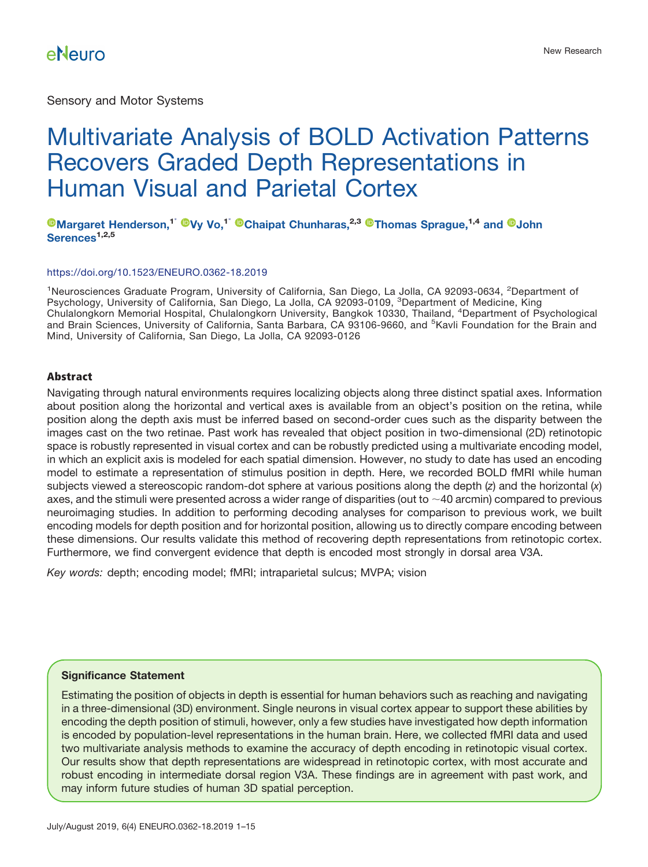Sensory and Motor Systems

# Multivariate Analysis of BOLD Activation Patterns Recovers Graded Depth Representations in Human Visual and Parietal Cortex

### **[Margaret Henderson,](http://orcid.org/0000-0001-9375-6680)1**- **[Vy Vo,](http://orcid.org/0000-0001-9601-1297)1**- **[Chaipat Chunharas,](http://orcid.org/0000-0003-1074-0160)2,3 [Thomas Sprague,](http://orcid.org/0000-0001-9530-2463)1,4 and [John](http://orcid.org/0000-0002-8551-5147) [Serences](http://orcid.org/0000-0002-8551-5147)1,2,5**

#### <https://doi.org/10.1523/ENEURO.0362-18.2019>

<sup>1</sup>Neurosciences Graduate Program, University of California, San Diego, La Jolla, CA 92093-0634, <sup>2</sup>Department of Psychology, University of California, San Diego, La Jolla, CA 92093-0109, <sup>3</sup>Department of Medicine, King Chulalongkorn Memorial Hospital, Chulalongkorn University, Bangkok 10330, Thailand, <sup>4</sup> Department of Psychological and Brain Sciences, University of California, Santa Barbara, CA 93106-9660, and <sup>5</sup>Kavli Foundation for the Brain and Mind, University of California, San Diego, La Jolla, CA 92093-0126

### **Abstract**

Navigating through natural environments requires localizing objects along three distinct spatial axes. Information about position along the horizontal and vertical axes is available from an object's position on the retina, while position along the depth axis must be inferred based on second-order cues such as the disparity between the images cast on the two retinae. Past work has revealed that object position in two-dimensional (2D) retinotopic space is robustly represented in visual cortex and can be robustly predicted using a multivariate encoding model, in which an explicit axis is modeled for each spatial dimension. However, no study to date has used an encoding model to estimate a representation of stimulus position in depth. Here, we recorded BOLD fMRI while human subjects viewed a stereoscopic random-dot sphere at various positions along the depth (*z*) and the horizontal (*x*) axes, and the stimuli were presented across a wider range of disparities (out to  $\sim$ 40 arcmin) compared to previous neuroimaging studies. In addition to performing decoding analyses for comparison to previous work, we built encoding models for depth position and for horizontal position, allowing us to directly compare encoding between these dimensions. Our results validate this method of recovering depth representations from retinotopic cortex. Furthermore, we find convergent evidence that depth is encoded most strongly in dorsal area V3A.

*Key words:* depth; encoding model; fMRI; intraparietal sulcus; MVPA; vision

#### **Significance Statement**

Estimating the position of objects in depth is essential for human behaviors such as reaching and navigating in a three-dimensional (3D) environment. Single neurons in visual cortex appear to support these abilities by encoding the depth position of stimuli, however, only a few studies have investigated how depth information is encoded by population-level representations in the human brain. Here, we collected fMRI data and used two multivariate analysis methods to examine the accuracy of depth encoding in retinotopic visual cortex. Our results show that depth representations are widespread in retinotopic cortex, with most accurate and robust encoding in intermediate dorsal region V3A. These findings are in agreement with past work, and may inform future studies of human 3D spatial perception.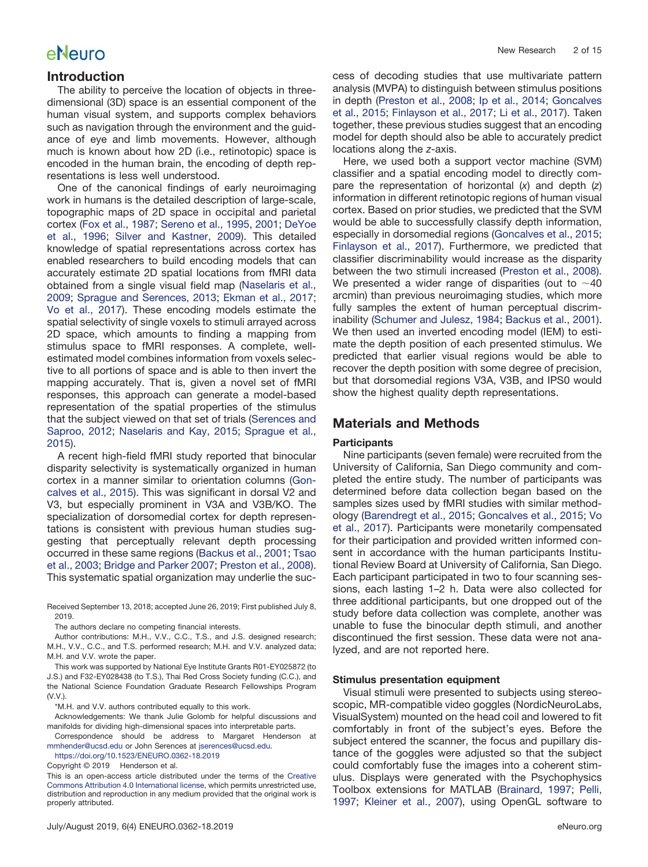### **Introduction**

The ability to perceive the location of objects in threedimensional (3D) space is an essential component of the human visual system, and supports complex behaviors such as navigation through the environment and the guidance of eye and limb movements. However, although much is known about how 2D (i.e., retinotopic) space is encoded in the human brain, the encoding of depth representations is less well understood.

One of the canonical findings of early neuroimaging work in humans is the detailed description of large-scale, topographic maps of 2D space in occipital and parietal cortex [\(Fox et al., 1987;](#page-14-0) [Sereno et al., 1995,](#page-14-1) [2001;](#page-14-2) [DeYoe](#page-14-3) [et al., 1996;](#page-14-3) [Silver and Kastner, 2009\)](#page-14-4). This detailed knowledge of spatial representations across cortex has enabled researchers to build encoding models that can accurately estimate 2D spatial locations from fMRI data obtained from a single visual field map [\(Naselaris et al.,](#page-14-5) [2009;](#page-14-5) [Sprague and Serences, 2013;](#page-14-6) [Ekman et al., 2017;](#page-14-7) [Vo et al., 2017\)](#page-14-8). These encoding models estimate the spatial selectivity of single voxels to stimuli arrayed across 2D space, which amounts to finding a mapping from stimulus space to fMRI responses. A complete, wellestimated model combines information from voxels selective to all portions of space and is able to then invert the mapping accurately. That is, given a novel set of fMRI responses, this approach can generate a model-based representation of the spatial properties of the stimulus that the subject viewed on that set of trials [\(Serences and](#page-14-9) [Saproo, 2012;](#page-14-9) [Naselaris and Kay, 2015;](#page-14-10) [Sprague et al.,](#page-14-11) [2015\)](#page-14-11).

A recent high-field fMRI study reported that binocular disparity selectivity is systematically organized in human cortex in a manner similar to orientation columns [\(Gon](#page-14-12)[calves et al., 2015\)](#page-14-12). This was significant in dorsal V2 and V3, but especially prominent in V3A and V3B/KO. The specialization of dorsomedial cortex for depth representations is consistent with previous human studies suggesting that perceptually relevant depth processing occurred in these same regions [\(Backus et al., 2001;](#page-13-0) [Tsao](#page-14-13) [et al., 2003;](#page-14-13) [Bridge and Parker 2007;](#page-13-1) [Preston et al., 2008\)](#page-14-14). This systematic spatial organization may underlie the suc-

Received September 13, 2018; accepted June 26, 2019; First published July 8, 2019.

The authors declare no competing financial interests.

Author contributions: M.H., V.V., C.C., T.S., and J.S. designed research; M.H., V.V., C.C., and T.S. performed research; M.H. and V.V. analyzed data; M.H. and V.V. wrote the paper.

This work was supported by National Eye Institute Grants R01-EY025872 (to J.S.) and F32-EY028438 (to T.S.), Thai Red Cross Society funding (C.C.), and the National Science Foundation Graduate Research Fellowships Program (V.V.).

\*M.H. and V.V. authors contributed equally to this work.

Acknowledgements: We thank Julie Golomb for helpful discussions and manifolds for dividing high-dimensional spaces into interpretable parts.

Correspondence should be address to Margaret Henderson at [mmhender@ucsd.edu](mailto:mmhender@ucsd.edu) or John Serences at [jserences@ucsd.edu.](mailto:jserences@ucsd.edu)

<https://doi.org/10.1523/ENEURO.0362-18.2019>

Copyright © 2019 Henderson et al.

This is an open-access article distributed under the terms of the [Creative](http://creativecommons.org/licenses/by/4.0/) [Commons Attribution 4.0 International license,](http://creativecommons.org/licenses/by/4.0/) which permits unrestricted use, distribution and reproduction in any medium provided that the original work is properly attributed.

cess of decoding studies that use multivariate pattern analysis (MVPA) to distinguish between stimulus positions in depth [\(Preston et al., 2008;](#page-14-14) [Ip et al., 2014;](#page-14-15) [Goncalves](#page-14-12) [et al., 2015;](#page-14-12) [Finlayson et al., 2017;](#page-14-16) [Li et al., 2017\)](#page-14-17). Taken together, these previous studies suggest that an encoding model for depth should also be able to accurately predict locations along the *z*-axis.

Here, we used both a support vector machine (SVM) classifier and a spatial encoding model to directly compare the representation of horizontal (*x*) and depth (*z*) information in different retinotopic regions of human visual cortex. Based on prior studies, we predicted that the SVM would be able to successfully classify depth information, especially in dorsomedial regions [\(Goncalves et al., 2015;](#page-14-12) [Finlayson et al., 2017\)](#page-14-16). Furthermore, we predicted that classifier discriminability would increase as the disparity between the two stimuli increased [\(Preston et al., 2008\)](#page-14-14). We presented a wider range of disparities (out to  $\sim$ 40 arcmin) than previous neuroimaging studies, which more fully samples the extent of human perceptual discriminability [\(Schumer and Julesz, 1984;](#page-14-18) [Backus et al., 2001\)](#page-13-0). We then used an inverted encoding model (IEM) to estimate the depth position of each presented stimulus. We predicted that earlier visual regions would be able to recover the depth position with some degree of precision, but that dorsomedial regions V3A, V3B, and IPS0 would show the highest quality depth representations.

### **Materials and Methods**

#### **Participants**

Nine participants (seven female) were recruited from the University of California, San Diego community and completed the entire study. The number of participants was determined before data collection began based on the samples sizes used by fMRI studies with similar methodology [\(Barendregt et al., 2015;](#page-13-2) [Goncalves et al., 2015;](#page-14-12) [Vo](#page-14-8) [et al., 2017\)](#page-14-8). Participants were monetarily compensated for their participation and provided written informed consent in accordance with the human participants Institutional Review Board at University of California, San Diego. Each participant participated in two to four scanning sessions, each lasting 1–2 h. Data were also collected for three additional participants, but one dropped out of the study before data collection was complete, another was unable to fuse the binocular depth stimuli, and another discontinued the first session. These data were not analyzed, and are not reported here.

#### **Stimulus presentation equipment**

Visual stimuli were presented to subjects using stereoscopic, MR-compatible video goggles (NordicNeuroLabs, VisualSystem) mounted on the head coil and lowered to fit comfortably in front of the subject's eyes. Before the subject entered the scanner, the focus and pupillary distance of the goggles were adjusted so that the subject could comfortably fuse the images into a coherent stimulus. Displays were generated with the Psychophysics Toolbox extensions for MATLAB [\(Brainard, 1997;](#page-13-3) [Pelli,](#page-14-19) [1997;](#page-14-19) [Kleiner et al., 2007\)](#page-14-20), using OpenGL software to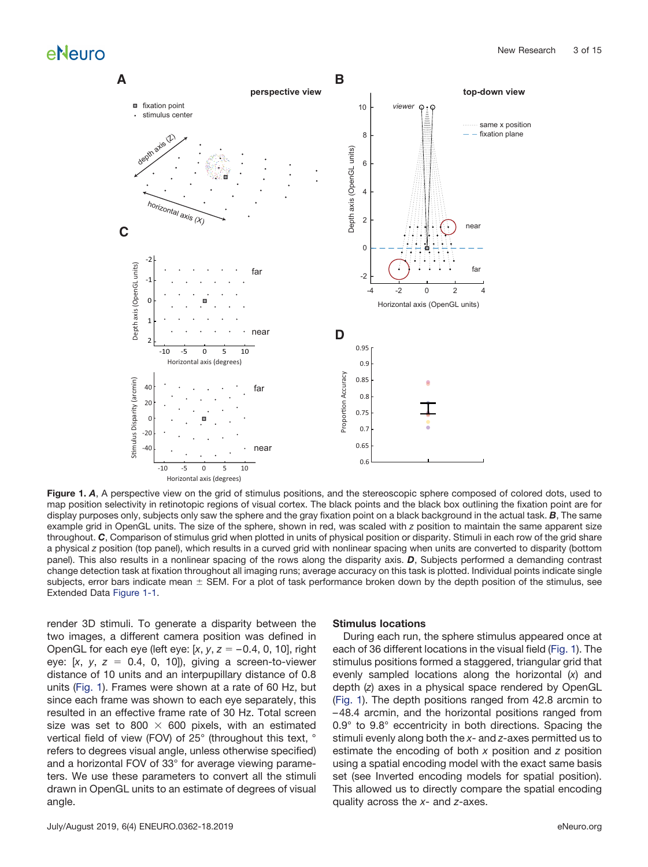

<span id="page-2-0"></span>**Figure 1.** *A*, A perspective view on the grid of stimulus positions, and the stereoscopic sphere composed of colored dots, used to map position selectivity in retinotopic regions of visual cortex. The black points and the black box outlining the fixation point are for display purposes only, subjects only saw the sphere and the gray fixation point on a black background in the actual task. *B*, The same example grid in OpenGL units. The size of the sphere, shown in red, was scaled with *z* position to maintain the same apparent size throughout. *C*, Comparison of stimulus grid when plotted in units of physical position or disparity. Stimuli in each row of the grid share a physical *z* position (top panel), which results in a curved grid with nonlinear spacing when units are converted to disparity (bottom panel). This also results in a nonlinear spacing of the rows along the disparity axis. *D*, Subjects performed a demanding contrast change detection task at fixation throughout all imaging runs; average accuracy on this task is plotted. Individual points indicate single subjects, error bars indicate mean  $\pm$  SEM. For a plot of task performance broken down by the depth position of the stimulus, see Extended Data [Figure 1-1.](https://doi.org/10.1523/ENEURO.0362-18.2019.f1-1)

render 3D stimuli. To generate a disparity between the two images, a different camera position was defined in OpenGL for each eye (left eye: [*x*, *y*, *z* – 0.4, 0, 10], right eye:  $[x, y, z = 0.4, 0, 10]$ , giving a screen-to-viewer distance of 10 units and an interpupillary distance of 0.8 units [\(Fig. 1\)](#page-2-0). Frames were shown at a rate of 60 Hz, but since each frame was shown to each eye separately, this resulted in an effective frame rate of 30 Hz. Total screen size was set to 800  $\times$  600 pixels, with an estimated vertical field of view (FOV) of 25° (throughout this text, ° refers to degrees visual angle, unless otherwise specified) and a horizontal FOV of 33° for average viewing parameters. We use these parameters to convert all the stimuli drawn in OpenGL units to an estimate of degrees of visual angle.

### **Stimulus locations**

During each run, the sphere stimulus appeared once at each of 36 different locations in the visual field [\(Fig. 1\)](#page-2-0). The stimulus positions formed a staggered, triangular grid that evenly sampled locations along the horizontal (*x*) and depth (*z*) axes in a physical space rendered by OpenGL [\(Fig. 1\)](#page-2-0). The depth positions ranged from 42.8 arcmin to – 48.4 arcmin, and the horizontal positions ranged from 0.9° to 9.8° eccentricity in both directions. Spacing the stimuli evenly along both the *x*- and *z*-axes permitted us to estimate the encoding of both *x* position and *z* position using a spatial encoding model with the exact same basis set (see Inverted encoding models for spatial position). This allowed us to directly compare the spatial encoding quality across the *x*- and *z*-axes.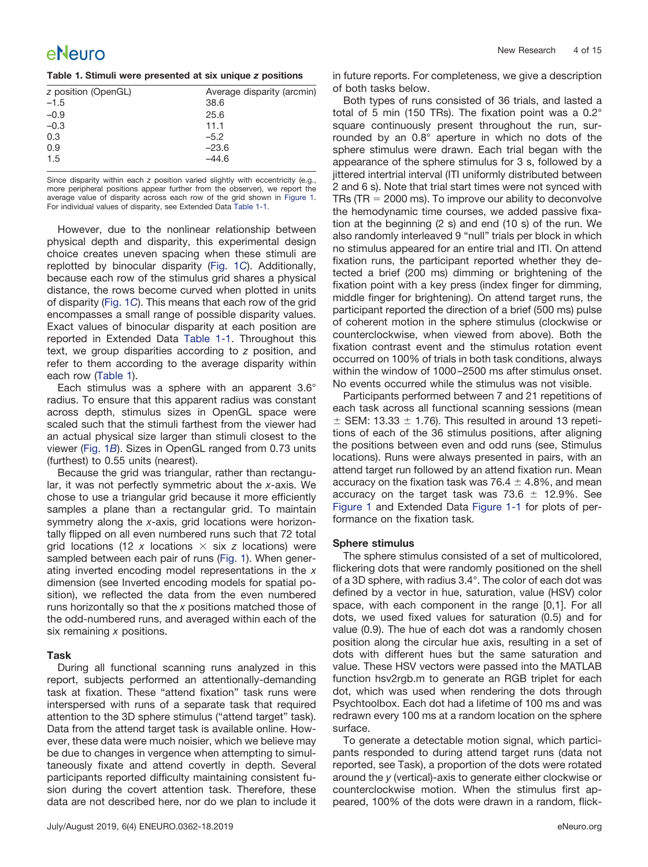#### <span id="page-3-0"></span>**Table 1. Stimuli were presented at six unique** *z* **positions**

| z position (OpenGL) | Average disparity (arcmin) |
|---------------------|----------------------------|
| $-1.5$              | 38.6                       |
| $-0.9$              | 25.6                       |
| $-0.3$              | 11.1                       |
| 0.3                 | $-5.2$                     |
| 0.9                 | $-23.6$                    |
| 1.5                 | $-44.6$                    |
|                     |                            |

Since disparity within each *z* position varied slightly with eccentricity (e.g., more peripheral positions appear further from the observer), we report the average value of disparity across each row of the grid shown in [Figure 1.](#page-2-0) For individual values of disparity, see Extended Data [Table 1-1.](https://doi.org/10.1523/ENEURO.0362-18.2019.t1-1)

However, due to the nonlinear relationship between physical depth and disparity, this experimental design choice creates uneven spacing when these stimuli are replotted by binocular disparity [\(Fig. 1](#page-2-0)*C*). Additionally, because each row of the stimulus grid shares a physical distance, the rows become curved when plotted in units of disparity [\(Fig. 1](#page-2-0)*C*). This means that each row of the grid encompasses a small range of possible disparity values. Exact values of binocular disparity at each position are reported in Extended Data [Table 1-1.](https://doi.org/10.1523/ENEURO.0362-18.2019.t1-1) Throughout this text, we group disparities according to *z* position, and refer to them according to the average disparity within each row [\(Table 1\)](#page-3-0).

Each stimulus was a sphere with an apparent 3.6° radius. To ensure that this apparent radius was constant across depth, stimulus sizes in OpenGL space were scaled such that the stimuli farthest from the viewer had an actual physical size larger than stimuli closest to the viewer [\(Fig. 1](#page-2-0)*B*). Sizes in OpenGL ranged from 0.73 units (furthest) to 0.55 units (nearest).

Because the grid was triangular, rather than rectangular, it was not perfectly symmetric about the *x*-axis. We chose to use a triangular grid because it more efficiently samples a plane than a rectangular grid. To maintain symmetry along the *x*-axis, grid locations were horizontally flipped on all even numbered runs such that 72 total grid locations (12 x locations  $\times$  six *z* locations) were sampled between each pair of runs [\(Fig. 1\)](#page-2-0). When generating inverted encoding model representations in the *x* dimension (see Inverted encoding models for spatial position), we reflected the data from the even numbered runs horizontally so that the *x* positions matched those of the odd-numbered runs, and averaged within each of the six remaining *x* positions.

#### **Task**

During all functional scanning runs analyzed in this report, subjects performed an attentionally-demanding task at fixation. These "attend fixation" task runs were interspersed with runs of a separate task that required attention to the 3D sphere stimulus ("attend target" task). Data from the attend target task is available online. However, these data were much noisier, which we believe may be due to changes in vergence when attempting to simultaneously fixate and attend covertly in depth. Several participants reported difficulty maintaining consistent fusion during the covert attention task. Therefore, these data are not described here, nor do we plan to include it in future reports. For completeness, we give a description of both tasks below.

Both types of runs consisted of 36 trials, and lasted a total of 5 min (150 TRs). The fixation point was a 0.2° square continuously present throughout the run, surrounded by an 0.8° aperture in which no dots of the sphere stimulus were drawn. Each trial began with the appearance of the sphere stimulus for 3 s, followed by a jittered intertrial interval (ITI uniformly distributed between 2 and 6 s). Note that trial start times were not synced with TRs (TR  $=$  2000 ms). To improve our ability to deconvolve the hemodynamic time courses, we added passive fixation at the beginning (2 s) and end (10 s) of the run. We also randomly interleaved 9 "null" trials per block in which no stimulus appeared for an entire trial and ITI. On attend fixation runs, the participant reported whether they detected a brief (200 ms) dimming or brightening of the fixation point with a key press (index finger for dimming, middle finger for brightening). On attend target runs, the participant reported the direction of a brief (500 ms) pulse of coherent motion in the sphere stimulus (clockwise or counterclockwise, when viewed from above). Both the fixation contrast event and the stimulus rotation event occurred on 100% of trials in both task conditions, always within the window of 1000 –2500 ms after stimulus onset. No events occurred while the stimulus was not visible.

Participants performed between 7 and 21 repetitions of each task across all functional scanning sessions (mean  $\pm$  SEM: 13.33  $\pm$  1.76). This resulted in around 13 repetitions of each of the 36 stimulus positions, after aligning the positions between even and odd runs (see, Stimulus locations). Runs were always presented in pairs, with an attend target run followed by an attend fixation run. Mean accuracy on the fixation task was  $76.4 \pm 4.8\%$ , and mean accuracy on the target task was 73.6  $\pm$  12.9%. See [Figure 1](#page-2-0) and Extended Data [Figure 1-1](https://doi.org/10.1523/ENEURO.0362-18.2019.f1-1) for plots of performance on the fixation task.

### **Sphere stimulus**

The sphere stimulus consisted of a set of multicolored, flickering dots that were randomly positioned on the shell of a 3D sphere, with radius 3.4°. The color of each dot was defined by a vector in hue, saturation, value (HSV) color space, with each component in the range [0,1]. For all dots, we used fixed values for saturation (0.5) and for value (0.9). The hue of each dot was a randomly chosen position along the circular hue axis, resulting in a set of dots with different hues but the same saturation and value. These HSV vectors were passed into the MATLAB function hsv2rgb.m to generate an RGB triplet for each dot, which was used when rendering the dots through Psychtoolbox. Each dot had a lifetime of 100 ms and was redrawn every 100 ms at a random location on the sphere surface.

To generate a detectable motion signal, which participants responded to during attend target runs (data not reported, see Task), a proportion of the dots were rotated around the *y* (vertical)-axis to generate either clockwise or counterclockwise motion. When the stimulus first appeared, 100% of the dots were drawn in a random, flick-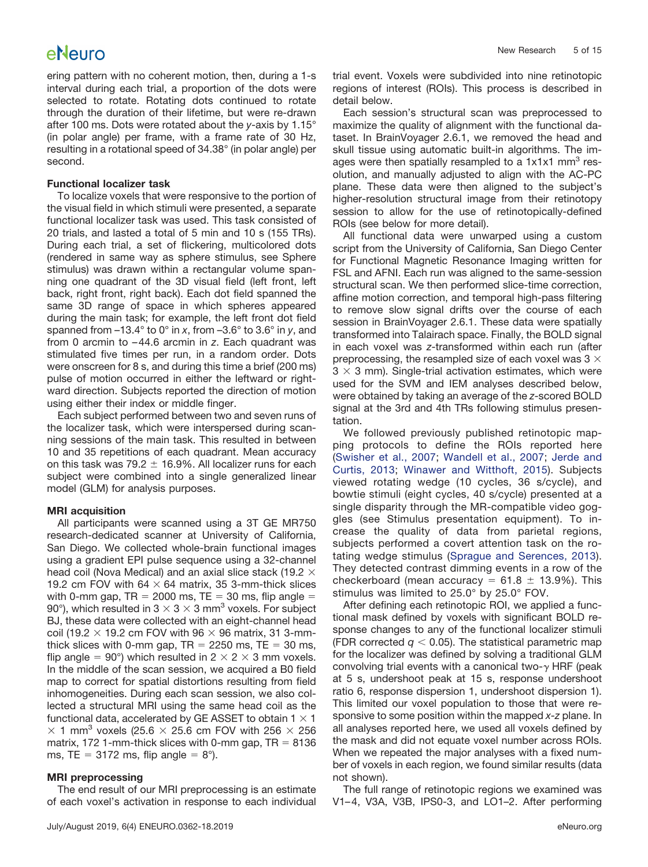ering pattern with no coherent motion, then, during a 1-s interval during each trial, a proportion of the dots were selected to rotate. Rotating dots continued to rotate through the duration of their lifetime, but were re-drawn after 100 ms. Dots were rotated about the *y*-axis by 1.15° (in polar angle) per frame, with a frame rate of 30 Hz, resulting in a rotational speed of 34.38° (in polar angle) per second.

#### **Functional localizer task**

To localize voxels that were responsive to the portion of the visual field in which stimuli were presented, a separate functional localizer task was used. This task consisted of 20 trials, and lasted a total of 5 min and 10 s (155 TRs). During each trial, a set of flickering, multicolored dots (rendered in same way as sphere stimulus, see Sphere stimulus) was drawn within a rectangular volume spanning one quadrant of the 3D visual field (left front, left back, right front, right back). Each dot field spanned the same 3D range of space in which spheres appeared during the main task; for example, the left front dot field spanned from –13.4° to 0° in *x*, from –3.6° to 3.6° in *y*, and from 0 arcmin to – 44.6 arcmin in *z*. Each quadrant was stimulated five times per run, in a random order. Dots were onscreen for 8 s, and during this time a brief (200 ms) pulse of motion occurred in either the leftward or rightward direction. Subjects reported the direction of motion using either their index or middle finger.

Each subject performed between two and seven runs of the localizer task, which were interspersed during scanning sessions of the main task. This resulted in between 10 and 35 repetitions of each quadrant. Mean accuracy on this task was 79.2  $\pm$  16.9%. All localizer runs for each subject were combined into a single generalized linear model (GLM) for analysis purposes.

#### **MRI acquisition**

All participants were scanned using a 3T GE MR750 research-dedicated scanner at University of California, San Diego. We collected whole-brain functional images using a gradient EPI pulse sequence using a 32-channel head coil (Nova Medical) and an axial slice stack (19.2  $\times$ 19.2 cm FOV with 64  $\times$  64 matrix, 35 3-mm-thick slices with 0-mm gap,  $TR = 2000$  ms,  $TE = 30$  ms, flip angle  $=$ 90°), which resulted in 3  $\times$  3  $\times$  3 mm<sup>3</sup> voxels. For subject BJ, these data were collected with an eight-channel head coil (19.2  $\times$  19.2 cm FOV with 96  $\times$  96 matrix, 31 3-mmthick slices with 0-mm gap,  $TR = 2250$  ms,  $TE = 30$  ms, flip angle = 90°) which resulted in  $2 \times 2 \times 3$  mm voxels. In the middle of the scan session, we acquired a B0 field map to correct for spatial distortions resulting from field inhomogeneities. During each scan session, we also collected a structural MRI using the same head coil as the functional data, accelerated by GE ASSET to obtain  $1 \times 1$  $\times$  1 mm<sup>3</sup> voxels (25.6  $\times$  25.6 cm FOV with 256  $\times$  256 matrix, 172 1-mm-thick slices with 0-mm gap,  $TR = 8136$ ms, TE = 3172 ms, flip angle =  $8^{\circ}$ ).

#### **MRI preprocessing**

The end result of our MRI preprocessing is an estimate of each voxel's activation in response to each individual trial event. Voxels were subdivided into nine retinotopic regions of interest (ROIs). This process is described in detail below.

Each session's structural scan was preprocessed to maximize the quality of alignment with the functional dataset. In BrainVoyager 2.6.1, we removed the head and skull tissue using automatic built-in algorithms. The images were then spatially resampled to a  $1x1x1$  mm<sup>3</sup> resolution, and manually adjusted to align with the AC-PC plane. These data were then aligned to the subject's higher-resolution structural image from their retinotopy session to allow for the use of retinotopically-defined ROIs (see below for more detail).

All functional data were unwarped using a custom script from the University of California, San Diego Center for Functional Magnetic Resonance Imaging written for FSL and AFNI. Each run was aligned to the same-session structural scan. We then performed slice-time correction, affine motion correction, and temporal high-pass filtering to remove slow signal drifts over the course of each session in BrainVoyager 2.6.1. These data were spatially transformed into Talairach space. Finally, the BOLD signal in each voxel was *z*-transformed within each run (after preprocessing, the resampled size of each voxel was  $3 \times$  $3 \times 3$  mm). Single-trial activation estimates, which were used for the SVM and IEM analyses described below, were obtained by taking an average of the *z*-scored BOLD signal at the 3rd and 4th TRs following stimulus presentation.

We followed previously published retinotopic mapping protocols to define the ROIs reported here [\(Swisher et al., 2007;](#page-14-21) [Wandell et al., 2007;](#page-14-22) [Jerde and](#page-14-23) [Curtis, 2013;](#page-14-23) [Winawer and Witthoft, 2015\)](#page-14-24). Subjects viewed rotating wedge (10 cycles, 36 s/cycle), and bowtie stimuli (eight cycles, 40 s/cycle) presented at a single disparity through the MR-compatible video goggles (see Stimulus presentation equipment). To increase the quality of data from parietal regions, subjects performed a covert attention task on the rotating wedge stimulus [\(Sprague and Serences, 2013\)](#page-14-6). They detected contrast dimming events in a row of the checkerboard (mean accuracy =  $61.8 \pm 13.9\%$ ). This stimulus was limited to 25.0° by 25.0° FOV.

After defining each retinotopic ROI, we applied a functional mask defined by voxels with significant BOLD response changes to any of the functional localizer stimuli (FDR corrected  $q < 0.05$ ). The statistical parametric map for the localizer was defined by solving a traditional GLM convolving trial events with a canonical two- $\gamma$  HRF (peak at 5 s, undershoot peak at 15 s, response undershoot ratio 6, response dispersion 1, undershoot dispersion 1). This limited our voxel population to those that were responsive to some position within the mapped *x-z* plane. In all analyses reported here, we used all voxels defined by the mask and did not equate voxel number across ROIs. When we repeated the major analyses with a fixed number of voxels in each region, we found similar results (data not shown).

The full range of retinotopic regions we examined was V1– 4, V3A, V3B, IPS0-3, and LO1–2. After performing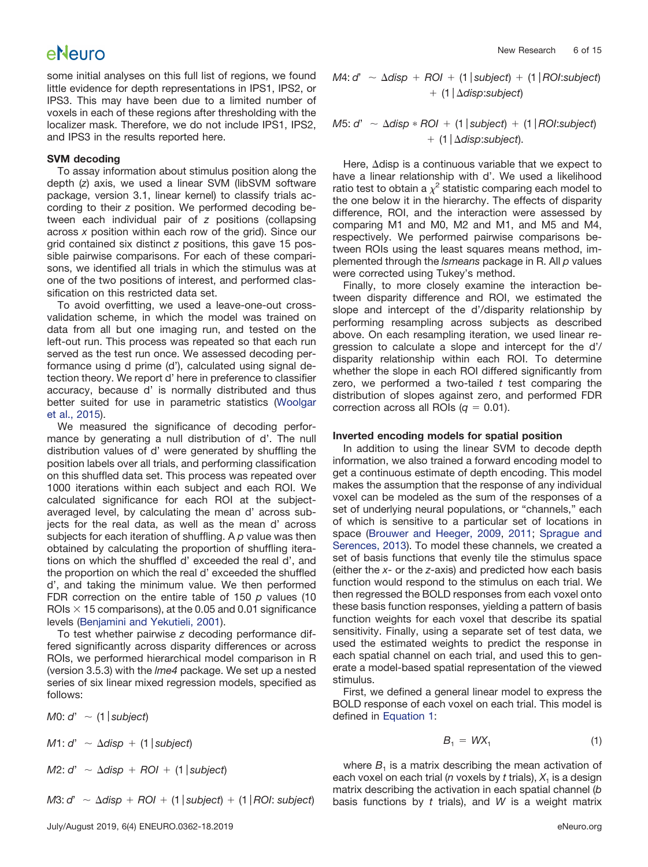some initial analyses on this full list of regions, we found little evidence for depth representations in IPS1, IPS2, or IPS3. This may have been due to a limited number of voxels in each of these regions after thresholding with the localizer mask. Therefore, we do not include IPS1, IPS2, and IPS3 in the results reported here.

#### **SVM decoding**

To assay information about stimulus position along the depth (*z*) axis, we used a linear SVM (libSVM software package, version 3.1, linear kernel) to classify trials according to their *z* position. We performed decoding between each individual pair of *z* positions (collapsing across *x* position within each row of the grid). Since our grid contained six distinct *z* positions, this gave 15 possible pairwise comparisons. For each of these comparisons, we identified all trials in which the stimulus was at one of the two positions of interest, and performed classification on this restricted data set.

To avoid overfitting, we used a leave-one-out crossvalidation scheme, in which the model was trained on data from all but one imaging run, and tested on the left-out run. This process was repeated so that each run served as the test run once. We assessed decoding performance using d prime (d'), calculated using signal detection theory. We report d' here in preference to classifier accuracy, because d' is normally distributed and thus better suited for use in parametric statistics [\(Woolgar](#page-14-25) [et al., 2015\)](#page-14-25).

We measured the significance of decoding performance by generating a null distribution of d'. The null distribution values of d' were generated by shuffling the position labels over all trials, and performing classification on this shuffled data set. This process was repeated over 1000 iterations within each subject and each ROI. We calculated significance for each ROI at the subjectaveraged level, by calculating the mean d' across subjects for the real data, as well as the mean d' across subjects for each iteration of shuffling. A *p* value was then obtained by calculating the proportion of shuffling iterations on which the shuffled d' exceeded the real d', and the proportion on which the real d' exceeded the shuffled d', and taking the minimum value. We then performed FDR correction on the entire table of 150 *p* values (10 ROIs  $\times$  15 comparisons), at the 0.05 and 0.01 significance levels [\(Benjamini and Yekutieli, 2001\)](#page-13-4).

To test whether pairwise *z* decoding performance differed significantly across disparity differences or across ROIs, we performed hierarchical model comparison in R (version 3.5.3) with the *lme4* package. We set up a nested series of six linear mixed regression models, specified as follows:

*M*0: *d*' - (1*subject*)

 $M$ 1: *d'*  $\sim$   $\Delta$ *disp* + (1 | *subject*)

 $M2: d' \sim \Delta disp + ROI + (1|subject)$ 

*M*3: *d'*  $\sim \Delta$ *disp* + *ROI* + (1 | *subject*) + (1 | *ROI*: *subject*)

*M*4: *d'*  $\sim \Delta$ *disp* + *ROI* + (1 | *subject*) + (1 | *ROI*:*subject*) (1*disp*:*subject*)

*M5: d'*  $\sim$   $\Delta$ *disp*  $\ast$  *ROI* + (1 | *subject*) + (1 | *ROI:subject*) (1*disp*:*subject*).

Here,  $\Delta$ disp is a continuous variable that we expect to have a linear relationship with d'. We used a likelihood ratio test to obtain a  $\chi^2$  statistic comparing each model to the one below it in the hierarchy. The effects of disparity difference, ROI, and the interaction were assessed by comparing M1 and M0, M2 and M1, and M5 and M4, respectively. We performed pairwise comparisons between ROIs using the least squares means method, implemented through the *lsmeans* package in R. All *p* values were corrected using Tukey's method.

Finally, to more closely examine the interaction between disparity difference and ROI, we estimated the slope and intercept of the d'/disparity relationship by performing resampling across subjects as described above. On each resampling iteration, we used linear regression to calculate a slope and intercept for the d'/ disparity relationship within each ROI. To determine whether the slope in each ROI differed significantly from zero, we performed a two-tailed *t* test comparing the distribution of slopes against zero, and performed FDR correction across all ROIs  $(q = 0.01)$ .

#### **Inverted encoding models for spatial position**

In addition to using the linear SVM to decode depth information, we also trained a forward encoding model to get a continuous estimate of depth encoding. This model makes the assumption that the response of any individual voxel can be modeled as the sum of the responses of a set of underlying neural populations, or "channels," each of which is sensitive to a particular set of locations in space [\(Brouwer and Heeger, 2009,](#page-13-5) [2011;](#page-14-26) [Sprague and](#page-14-6) [Serences, 2013\)](#page-14-6). To model these channels, we created a set of basis functions that evenly tile the stimulus space (either the *x*- or the *z*-axis) and predicted how each basis function would respond to the stimulus on each trial. We then regressed the BOLD responses from each voxel onto these basis function responses, yielding a pattern of basis function weights for each voxel that describe its spatial sensitivity. Finally, using a separate set of test data, we used the estimated weights to predict the response in each spatial channel on each trial, and used this to generate a model-based spatial representation of the viewed stimulus.

First, we defined a general linear model to express the BOLD response of each voxel on each trial. This model is defined in [Equation 1:](#page-5-0)

$$
B_1 = W X_1 \tag{1}
$$

<span id="page-5-0"></span>where  $B_1$  is a matrix describing the mean activation of each voxel on each trial ( $n$  voxels by  $t$  trials),  $X_1$  is a design matrix describing the activation in each spatial channel (*b* basis functions by *t* trials), and *W* is a weight matrix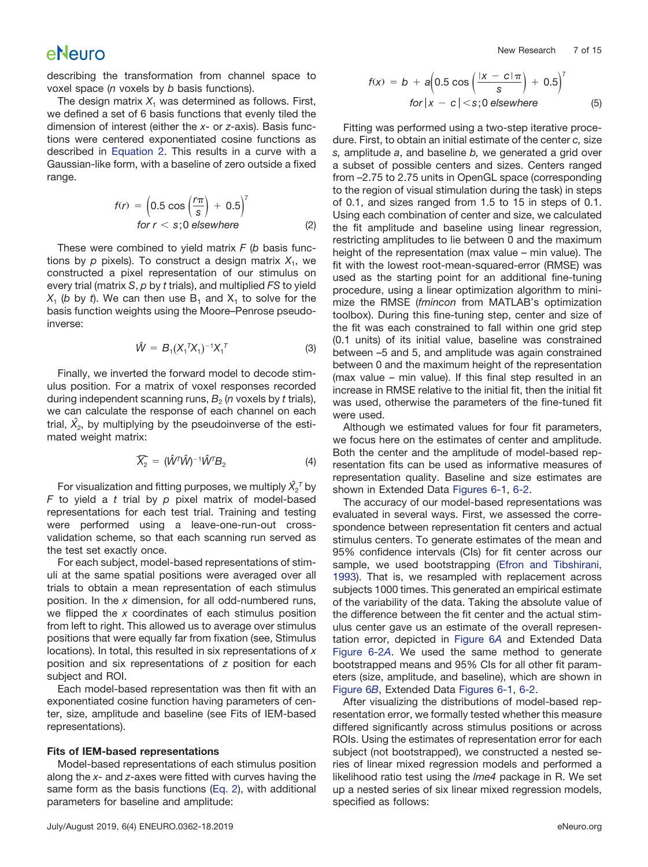describing the transformation from channel space to voxel space (*n* voxels by *b* basis functions).

The design matrix  $X_1$  was determined as follows. First, we defined a set of 6 basis functions that evenly tiled the dimension of interest (either the *x*- or *z*-axis). Basis functions were centered exponentiated cosine functions as described in [Equation 2.](#page-6-0) This results in a curve with a Gaussian-like form, with a baseline of zero outside a fixed range.

$$
f(r) = \left(0.5 \cos\left(\frac{r\pi}{s}\right) + 0.5\right)^{7}
$$
  
for  $r < s$ ; 0 elsewhere (2)

<span id="page-6-0"></span>These were combined to yield matrix *F* (*b* basis functions by  $p$  pixels). To construct a design matrix  $X_1$ , we constructed a pixel representation of our stimulus on every trial (matrix *S*, *p* by *t* trials), and multiplied *FS* to yield  $X_1$  (*b* by *t*). We can then use  $B_1$  and  $X_1$  to solve for the basis function weights using the Moore–Penrose pseudoinverse:

$$
\hat{W} = B_1 (X_1^T X_1)^{-1} X_1^T
$$
 (3)

Finally, we inverted the forward model to decode stimulus position. For a matrix of voxel responses recorded during independent scanning runs,  $B_2$  (*n* voxels by *t* trials), we can calculate the response of each channel on each trial,  $\hat{\mathsf{X}_2}$ , by multiplying by the pseudoinverse of the estimated weight matrix:  $\hat{X}_2 = (\hat{W}^T)$ 

$$
\widehat{X_2} = (\hat{W}^T \hat{W})^{-1} \hat{W}^T B_2 \tag{4}
$$

For visualization and fitting purposes, we multiply  $\hat{X_2}^{\tau}$  by *F* to yield a *t* trial by *p* pixel matrix of model-based representations for each test trial. Training and testing were performed using a leave-one-run-out crossvalidation scheme, so that each scanning run served as the test set exactly once.

For each subject, model-based representations of stimuli at the same spatial positions were averaged over all trials to obtain a mean representation of each stimulus position. In the *x* dimension, for all odd-numbered runs, we flipped the *x* coordinates of each stimulus position from left to right. This allowed us to average over stimulus positions that were equally far from fixation (see, Stimulus locations). In total, this resulted in six representations of *x* position and six representations of *z* position for each subject and ROI.

Each model-based representation was then fit with an exponentiated cosine function having parameters of center, size, amplitude and baseline (see Fits of IEM-based representations).

#### **Fits of IEM-based representations**

Model-based representations of each stimulus position along the *x*- and *z*-axes were fitted with curves having the same form as the basis functions [\(Eq. 2\)](#page-6-0), with additional parameters for baseline and amplitude:

$$
f(x) = b + a\left(0.5 \cos\left(\frac{|x - c| \pi}{s}\right) + 0.5\right)^7
$$
  
for  $|x - c| < s$ ; 0 elsewhere (5)

<span id="page-6-1"></span>Fitting was performed using a two-step iterative procedure. First, to obtain an initial estimate of the center *c,* size *s,* amplitude *a*, and baseline *b,* we generated a grid over a subset of possible centers and sizes. Centers ranged from –2.75 to 2.75 units in OpenGL space (corresponding to the region of visual stimulation during the task) in steps of 0.1, and sizes ranged from 1.5 to 15 in steps of 0.1. Using each combination of center and size, we calculated the fit amplitude and baseline using linear regression, restricting amplitudes to lie between 0 and the maximum height of the representation (max value – min value). The fit with the lowest root-mean-squared-error (RMSE) was used as the starting point for an additional fine-tuning procedure, using a linear optimization algorithm to minimize the RMSE (*fmincon* from MATLAB's optimization toolbox). During this fine-tuning step, center and size of the fit was each constrained to fall within one grid step (0.1 units) of its initial value, baseline was constrained between –5 and 5, and amplitude was again constrained between 0 and the maximum height of the representation (max value – min value). If this final step resulted in an increase in RMSE relative to the initial fit, then the initial fit was used, otherwise the parameters of the fine-tuned fit were used.

Although we estimated values for four fit parameters, we focus here on the estimates of center and amplitude. Both the center and the amplitude of model-based representation fits can be used as informative measures of representation quality. Baseline and size estimates are shown in Extended Data [Figures 6-1,](https://doi.org/10.1523/ENEURO.0362-18.2019.f6-1) [6-2.](https://doi.org/10.1523/ENEURO.0362-18.2019.f6-2)

The accuracy of our model-based representations was evaluated in several ways. First, we assessed the correspondence between representation fit centers and actual stimulus centers. To generate estimates of the mean and 95% confidence intervals (CIs) for fit center across our sample, we used bootstrapping [\(Efron and Tibshirani,](#page-14-27) [1993\)](#page-14-27). That is, we resampled with replacement across subjects 1000 times. This generated an empirical estimate of the variability of the data. Taking the absolute value of the difference between the fit center and the actual stimulus center gave us an estimate of the overall representation error, depicted in [Figure 6](#page-12-0)*A* and Extended Data [Figure 6-2](https://doi.org/10.1523/ENEURO.0362-18.2019.f6-2)*A*. We used the same method to generate bootstrapped means and 95% CIs for all other fit parameters (size, amplitude, and baseline), which are shown in [Figure 6](#page-12-0)*B*, Extended Data [Figures 6-1,](https://doi.org/10.1523/ENEURO.0362-18.2019.f6-1) [6-2.](https://doi.org/10.1523/ENEURO.0362-18.2019.f6-2)

After visualizing the distributions of model-based representation error, we formally tested whether this measure differed significantly across stimulus positions or across ROIs. Using the estimates of representation error for each subject (not bootstrapped), we constructed a nested series of linear mixed regression models and performed a likelihood ratio test using the *lme4* package in R. We set up a nested series of six linear mixed regression models, specified as follows: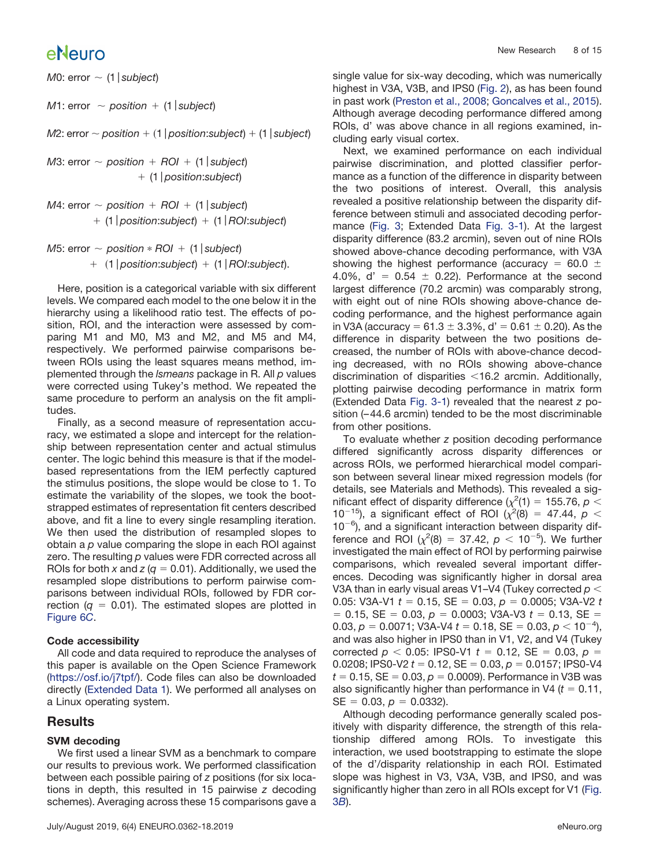*M*0: error  $\sim$  (1 | subject)

 $M$ 1: error  $\sim$  *position* + (1 | *subject*)

*M*2: error  $\sim$  position  $+$  (1 | position:subject)  $+$  (1 | subject)

*M*3: error  $\sim$  *position* + *ROI* + (1 | *subject*) (1*pos*i*tion*:*subject*)

```
M4: error \sim position + ROI + (1 | subject)
 (1position:subject)  (1ROI:subject)
```

```
M5: error \sim position * ROI + (1 | subject)
1position:subject)  (1ROI:subject).
```
Here, position is a categorical variable with six different levels. We compared each model to the one below it in the hierarchy using a likelihood ratio test. The effects of position, ROI, and the interaction were assessed by comparing M1 and M0, M3 and M2, and M5 and M4, respectively. We performed pairwise comparisons between ROIs using the least squares means method, implemented through the *lsmeans* package in R. All *p* values were corrected using Tukey's method. We repeated the same procedure to perform an analysis on the fit amplitudes.

Finally, as a second measure of representation accuracy, we estimated a slope and intercept for the relationship between representation center and actual stimulus center. The logic behind this measure is that if the modelbased representations from the IEM perfectly captured the stimulus positions, the slope would be close to 1. To estimate the variability of the slopes, we took the bootstrapped estimates of representation fit centers described above, and fit a line to every single resampling iteration. We then used the distribution of resampled slopes to obtain a *p* value comparing the slope in each ROI against zero. The resulting *p* values were FDR corrected across all ROIs for both x and  $z$  ( $q = 0.01$ ). Additionally, we used the resampled slope distributions to perform pairwise comparisons between individual ROIs, followed by FDR correction  $(q = 0.01)$ . The estimated slopes are plotted in [Figure 6](#page-12-0)*C*.

### **Code accessibility**

All code and data required to reproduce the analyses of this paper is available on the Open Science Framework [\(https://osf.io/j7tpf/\)](https://osf.io/j7tpf/). Code files can also be downloaded directly [\(Extended Data 1\)](https://doi.org/10.1523/ENEURO.0362-18.2019.ed1). We performed all analyses on a Linux operating system.

### **Results**

### **SVM decoding**

We first used a linear SVM as a benchmark to compare our results to previous work. We performed classification between each possible pairing of *z* positions (for six locations in depth, this resulted in 15 pairwise *z* decoding schemes). Averaging across these 15 comparisons gave a single value for six-way decoding, which was numerically highest in V3A, V3B, and IPS0 [\(Fig. 2\)](#page-8-0), as has been found in past work [\(Preston et al., 2008;](#page-14-14) [Goncalves et al., 2015\)](#page-14-12). Although average decoding performance differed among ROIs, d' was above chance in all regions examined, including early visual cortex.

Next, we examined performance on each individual pairwise discrimination, and plotted classifier performance as a function of the difference in disparity between the two positions of interest. Overall, this analysis revealed a positive relationship between the disparity difference between stimuli and associated decoding performance [\(Fig. 3;](#page-9-0) Extended Data [Fig. 3-1\)](https://doi.org/10.1523/ENEURO.0362-18.2019.f3-1). At the largest disparity difference (83.2 arcmin), seven out of nine ROIs showed above-chance decoding performance, with V3A showing the highest performance (accuracy =  $60.0 \pm$ 4.0%,  $d' = 0.54 \pm 0.22$ ). Performance at the second largest difference (70.2 arcmin) was comparably strong, with eight out of nine ROIs showing above-chance decoding performance, and the highest performance again in V3A (accuracy = 61.3  $\pm$  3.3%, d' = 0.61  $\pm$  0.20). As the difference in disparity between the two positions decreased, the number of ROIs with above-chance decoding decreased, with no ROIs showing above-chance discrimination of disparities  $<$  16.2 arcmin. Additionally, plotting pairwise decoding performance in matrix form (Extended Data [Fig. 3-1\)](https://doi.org/10.1523/ENEURO.0362-18.2019.f3-1) revealed that the nearest *z* position (– 44.6 arcmin) tended to be the most discriminable from other positions.

To evaluate whether *z* position decoding performance differed significantly across disparity differences or across ROIs, we performed hierarchical model comparison between several linear mixed regression models (for details, see Materials and Methods). This revealed a significant effect of disparity difference ( $\chi^2(1) = 155.76$ ,  $p <$ 10<sup>-15</sup>), a significant effect of ROI  $(x^2(8) = 47.44, p <$  $10^{-6}$ ), and a significant interaction between disparity difference and ROI  $(\chi^2(8) = 37.42, p < 10^{-5})$ . We further investigated the main effect of ROI by performing pairwise comparisons, which revealed several important differences. Decoding was significantly higher in dorsal area V3A than in early visual areas V1–V4 (Tukey corrected *p* 0.05: V3A-V1  $t = 0.15$ , SE = 0.03,  $p = 0.0005$ ; V3A-V2  $t$  $= 0.15$ , SE  $= 0.03$ ,  $p = 0.0003$ ; V3A-V3  $t = 0.13$ , SE  $=$  $0.03, p = 0.0071$ ; V3A-V4  $t = 0.18$ , SE =  $0.03, p < 10^{-4}$ ), and was also higher in IPS0 than in V1, V2, and V4 (Tukey corrected  $p$  < 0.05: IPS0-V1  $t = 0.12$ , SE = 0.03,  $p =$ 0.0208; IPS0-V2  $t = 0.12$ ,  $SE = 0.03$ ,  $p = 0.0157$ ; IPS0-V4  $t = 0.15$ ,  $SE = 0.03$ ,  $p = 0.0009$ ). Performance in V3B was also significantly higher than performance in V4  $(t = 0.11,$  $SE = 0.03$ ,  $p = 0.0332$ ).

Although decoding performance generally scaled positively with disparity difference, the strength of this relationship differed among ROIs. To investigate this interaction, we used bootstrapping to estimate the slope of the d'/disparity relationship in each ROI. Estimated slope was highest in V3, V3A, V3B, and IPS0, and was significantly higher than zero in all ROIs except for V1 [\(Fig.](#page-9-0) 3*[B](#page-9-0)*).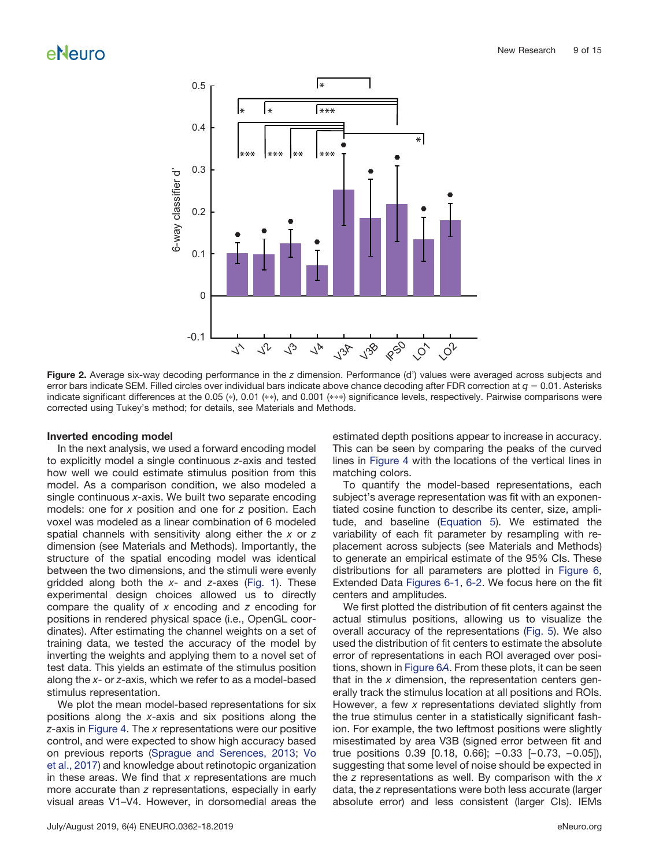

<span id="page-8-0"></span>**Figure 2.** Average six-way decoding performance in the *z* dimension. Performance (d') values were averaged across subjects and error bars indicate SEM. Filled circles over individual bars indicate above chance decoding after FDR correction at  $q = 0.01$ . Asterisks indicate significant differences at the 0.05 (\*), 0.01 (\*\*), and 0.001 (\*\*\*) significance levels, respectively. Pairwise comparisons were corrected using Tukey's method; for details, see Materials and Methods.

#### **Inverted encoding model**

In the next analysis, we used a forward encoding model to explicitly model a single continuous *z*-axis and tested how well we could estimate stimulus position from this model. As a comparison condition, we also modeled a single continuous *x*-axis. We built two separate encoding models: one for *x* position and one for *z* position. Each voxel was modeled as a linear combination of 6 modeled spatial channels with sensitivity along either the *x* or *z* dimension (see Materials and Methods). Importantly, the structure of the spatial encoding model was identical between the two dimensions, and the stimuli were evenly gridded along both the *x*- and *z*-axes [\(Fig. 1\)](#page-2-0). These experimental design choices allowed us to directly compare the quality of *x* encoding and *z* encoding for positions in rendered physical space (i.e., OpenGL coordinates). After estimating the channel weights on a set of training data, we tested the accuracy of the model by inverting the weights and applying them to a novel set of test data. This yields an estimate of the stimulus position along the *x*- or *z*-axis, which we refer to as a model-based stimulus representation.

We plot the mean model-based representations for six positions along the *x*-axis and six positions along the *z*-axis in [Figure 4.](#page-10-0) The *x* representations were our positive control, and were expected to show high accuracy based on previous reports [\(Sprague and Serences, 2013;](#page-14-6) [Vo](#page-14-8) [et al., 2017\)](#page-14-8) and knowledge about retinotopic organization in these areas. We find that *x* representations are much more accurate than *z* representations, especially in early visual areas V1–V4. However, in dorsomedial areas the

July/August 2019, 6(4) ENEURO.0362-18.2019 eNeuro.org

estimated depth positions appear to increase in accuracy. This can be seen by comparing the peaks of the curved lines in [Figure 4](#page-10-0) with the locations of the vertical lines in matching colors.

To quantify the model-based representations, each subject's average representation was fit with an exponentiated cosine function to describe its center, size, amplitude, and baseline [\(Equation 5\)](#page-6-1). We estimated the variability of each fit parameter by resampling with replacement across subjects (see Materials and Methods) to generate an empirical estimate of the 95% CIs. These distributions for all parameters are plotted in [Figure 6,](#page-12-0) Extended Data [Figures 6-1,](https://doi.org/10.1523/ENEURO.0362-18.2019.f6-1) [6-2.](https://doi.org/10.1523/ENEURO.0362-18.2019.f6-2) We focus here on the fit centers and amplitudes.

We first plotted the distribution of fit centers against the actual stimulus positions, allowing us to visualize the overall accuracy of the representations [\(Fig. 5\)](#page-11-0). We also used the distribution of fit centers to estimate the absolute error of representations in each ROI averaged over positions, shown in [Figure 6](#page-12-0)*A*. From these plots, it can be seen that in the *x* dimension, the representation centers generally track the stimulus location at all positions and ROIs. However, a few *x* representations deviated slightly from the true stimulus center in a statistically significant fashion. For example, the two leftmost positions were slightly misestimated by area V3B (signed error between fit and true positions 0.39 [0.18, 0.66]; – 0.33 [– 0.73, – 0.05]), suggesting that some level of noise should be expected in the *z* representations as well. By comparison with the *x* data, the *z* representations were both less accurate (larger absolute error) and less consistent (larger CIs). IEMs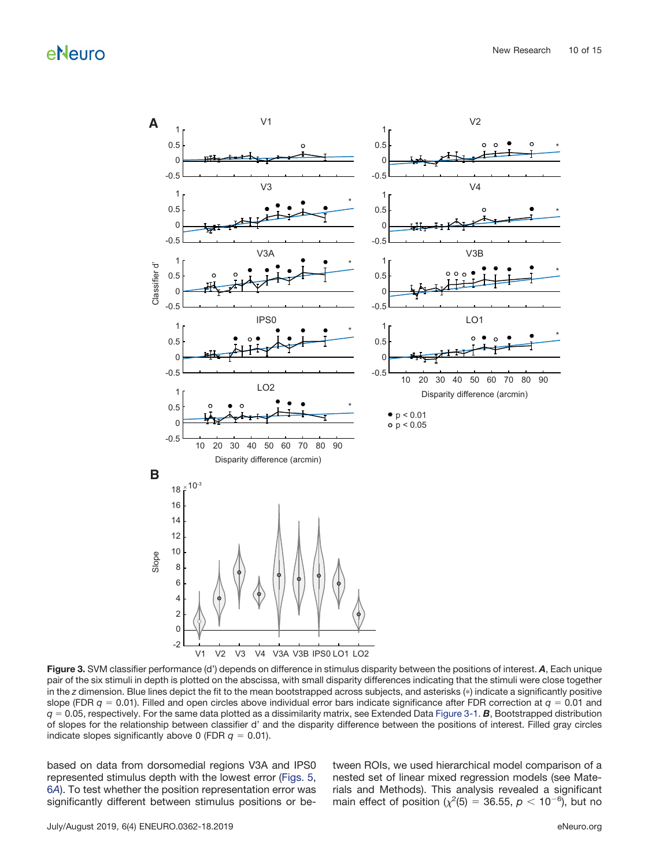

<span id="page-9-0"></span>**Figure 3.** SVM classifier performance (d') depends on difference in stimulus disparity between the positions of interest. *A*, Each unique pair of the six stimuli in depth is plotted on the abscissa, with small disparity differences indicating that the stimuli were close together in the *z* dimension. Blue lines depict the fit to the mean bootstrapped across subjects, and asterisks (\*) indicate a significantly positive slope (FDR  $q = 0.01$ ). Filled and open circles above individual error bars indicate significance after FDR correction at  $q = 0.01$  and  $q = 0.05$ , respectively. For the same data plotted as a dissimilarity matrix, see Extended Data [Figure 3-1.](https://doi.org/10.1523/ENEURO.0362-18.2019.f3-1) **B**, Bootstrapped distribution of slopes for the relationship between classifier d' and the disparity difference between the positions of interest. Filled gray circles indicate slopes significantly above 0 (FDR  $q = 0.01$ ).

based on data from dorsomedial regions V3A and IPS0 represented stimulus depth with the lowest error [\(Figs. 5,](#page-11-0) 6*[A](#page-12-0)*). To test whether the position representation error was significantly different between stimulus positions or between ROIs, we used hierarchical model comparison of a nested set of linear mixed regression models (see Materials and Methods). This analysis revealed a significant main effect of position ( $\chi^2$ (5) = 36.55,  $p < 10^{-6}$ ), but no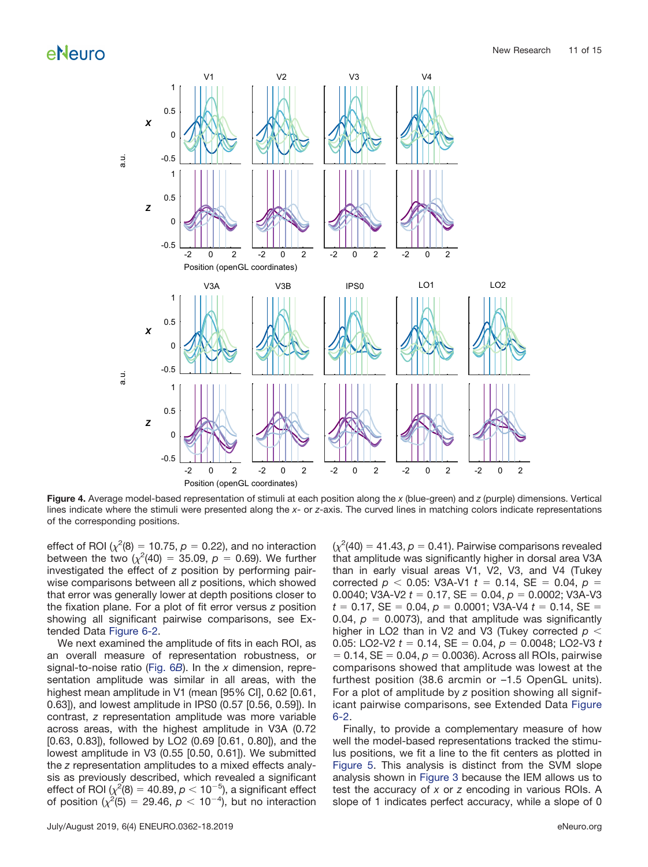

<span id="page-10-0"></span>**Figure 4.** Average model-based representation of stimuli at each position along the *x* (blue-green) and *z* (purple) dimensions. Vertical lines indicate where the stimuli were presented along the *x*- or *z*-axis. The curved lines in matching colors indicate representations of the corresponding positions.

effect of ROI ( $\chi^2(8) = 10.75$ ,  $p = 0.22$ ), and no interaction between the two  $(\chi^2(40) = 35.09, p = 0.69)$ . We further investigated the effect of *z* position by performing pairwise comparisons between all *z* positions, which showed that error was generally lower at depth positions closer to the fixation plane. For a plot of fit error versus *z* position showing all significant pairwise comparisons, see Extended Data [Figure 6-2.](https://doi.org/10.1523/ENEURO.0362-18.2019.f6-2)

We next examined the amplitude of fits in each ROI, as an overall measure of representation robustness, or signal-to-noise ratio [\(Fig. 6](#page-12-0)*B*). In the *x* dimension, representation amplitude was similar in all areas, with the highest mean amplitude in V1 (mean [95% CI], 0.62 [0.61, 0.63]), and lowest amplitude in IPS0 (0.57 [0.56, 0.59]). In contrast, *z* representation amplitude was more variable across areas, with the highest amplitude in V3A (0.72 [0.63, 0.83]), followed by LO2 (0.69 [0.61, 0.80]), and the lowest amplitude in V3 (0.55 [0.50, 0.61]). We submitted the *z* representation amplitudes to a mixed effects analysis as previously described, which revealed a significant effect of ROI ( $\chi^2(8)=40.89$ ,  $\rho <$  10<sup>-5</sup>), a significant effect of position  $(\chi^2(5) = 29.46, p < 10^{-4})$ , but no interaction

 $(\chi^2(40) = 41.43, p = 0.41)$ . Pairwise comparisons revealed that amplitude was significantly higher in dorsal area V3A than in early visual areas V1, V2, V3, and V4 (Tukey corrected  $p$  < 0.05: V3A-V1  $t = 0.14$ , SE = 0.04,  $p =$ 0.0040; V3A-V2  $t = 0.17$ , SE = 0.04,  $p = 0.0002$ ; V3A-V3  $t = 0.17$ , SE = 0.04,  $p = 0.0001$ ; V3A-V4  $t = 0.14$ , SE = 0.04,  $p = 0.0073$ ), and that amplitude was significantly higher in LO2 than in V2 and V3 (Tukey corrected *p* 0.05: LO2-V2  $t = 0.14$ , SE = 0.04,  $p = 0.0048$ ; LO2-V3  $t$  $= 0.14$ , SE  $= 0.04$ ,  $p = 0.0036$ ). Across all ROIs, pairwise comparisons showed that amplitude was lowest at the furthest position (38.6 arcmin or –1.5 OpenGL units). For a plot of amplitude by *z* position showing all significant pairwise comparisons, see Extended Data [Figure](https://doi.org/10.1523/ENEURO.0362-18.2019.f6-2) [6-2.](https://doi.org/10.1523/ENEURO.0362-18.2019.f6-2)

Finally, to provide a complementary measure of how well the model-based representations tracked the stimulus positions, we fit a line to the fit centers as plotted in [Figure 5.](#page-11-0) This analysis is distinct from the SVM slope analysis shown in [Figure 3](#page-9-0) because the IEM allows us to test the accuracy of *x* or *z* encoding in various ROIs. A slope of 1 indicates perfect accuracy, while a slope of 0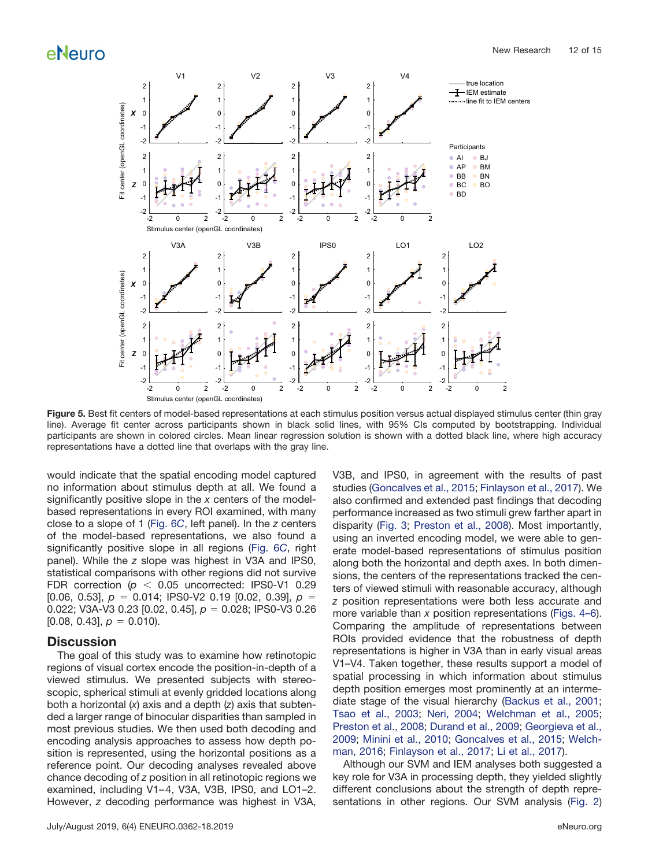

<span id="page-11-0"></span>**Figure 5.** Best fit centers of model-based representations at each stimulus position versus actual displayed stimulus center (thin gray line). Average fit center across participants shown in black solid lines, with 95% CIs computed by bootstrapping. Individual participants are shown in colored circles. Mean linear regression solution is shown with a dotted black line, where high accuracy representations have a dotted line that overlaps with the gray line.

would indicate that the spatial encoding model captured no information about stimulus depth at all. We found a significantly positive slope in the *x* centers of the modelbased representations in every ROI examined, with many close to a slope of 1 [\(Fig. 6](#page-12-0)*C*, left panel). In the *z* centers of the model-based representations, we also found a significantly positive slope in all regions [\(Fig. 6](#page-12-0)*C*, right panel). While the *z* slope was highest in V3A and IPS0, statistical comparisons with other regions did not survive FDR correction  $(p < 0.05$  uncorrected: IPS0-V1 0.29  $[0.06, 0.53], p = 0.014$ ; IPS0-V2 0.19  $[0.02, 0.39], p =$ 0.022; V3A-V3 0.23 [0.02, 0.45], *p* 0.028; IPS0-V3 0.26  $[0.08, 0.43], p = 0.010$ .

### **Discussion**

The goal of this study was to examine how retinotopic regions of visual cortex encode the position-in-depth of a viewed stimulus. We presented subjects with stereoscopic, spherical stimuli at evenly gridded locations along both a horizontal (*x*) axis and a depth (*z*) axis that subtended a larger range of binocular disparities than sampled in most previous studies. We then used both decoding and encoding analysis approaches to assess how depth position is represented, using the horizontal positions as a reference point. Our decoding analyses revealed above chance decoding of *z* position in all retinotopic regions we examined, including V1-4, V3A, V3B, IPS0, and LO1-2. However, *z* decoding performance was highest in V3A, V3B, and IPS0, in agreement with the results of past studies [\(Goncalves et al., 2015;](#page-14-12) [Finlayson et al., 2017\)](#page-14-16). We also confirmed and extended past findings that decoding performance increased as two stimuli grew farther apart in disparity [\(Fig. 3;](#page-9-0) [Preston et al., 2008\)](#page-14-14). Most importantly, using an inverted encoding model, we were able to generate model-based representations of stimulus position along both the horizontal and depth axes. In both dimensions, the centers of the representations tracked the centers of viewed stimuli with reasonable accuracy, although *z* position representations were both less accurate and more variable than *x* position representations [\(Figs. 4](#page-10-0)[–](#page-11-0)[6\)](#page-12-0). Comparing the amplitude of representations between ROIs provided evidence that the robustness of depth representations is higher in V3A than in early visual areas V1–V4. Taken together, these results support a model of spatial processing in which information about stimulus depth position emerges most prominently at an intermediate stage of the visual hierarchy [\(Backus et al., 2001;](#page-13-0) [Tsao et al., 2003;](#page-14-13) [Neri, 2004;](#page-14-28) [Welchman et al., 2005;](#page-14-29) [Preston et al., 2008;](#page-14-14) [Durand et al., 2009;](#page-14-30) [Georgieva et al.,](#page-14-31) [2009;](#page-14-31) [Minini et al., 2010;](#page-14-32) [Goncalves et al., 2015;](#page-14-12) [Welch](#page-14-33)[man, 2016;](#page-14-33) [Finlayson et al., 2017;](#page-14-16) [Li et al., 2017\)](#page-14-17).

Although our SVM and IEM analyses both suggested a key role for V3A in processing depth, they yielded slightly different conclusions about the strength of depth representations in other regions. Our SVM analysis [\(Fig. 2\)](#page-8-0)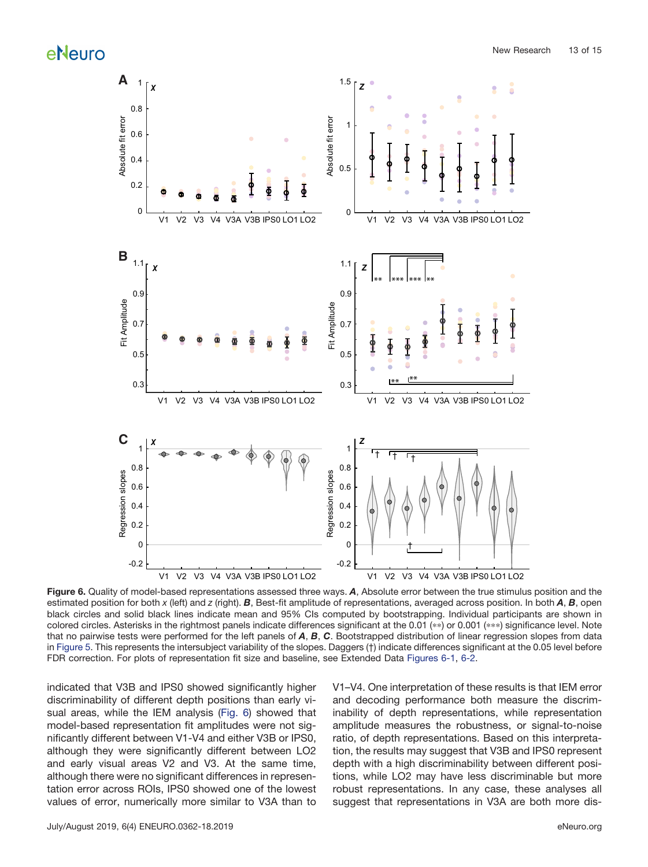

<span id="page-12-0"></span>**Figure 6.** Quality of model-based representations assessed three ways. *A*, Absolute error between the true stimulus position and the estimated position for both *x* (left) and *z* (right). *B*, Best-fit amplitude of representations, averaged across position. In both *A*, *B*, open black circles and solid black lines indicate mean and 95% CIs computed by bootstrapping. Individual participants are shown in colored circles. Asterisks in the rightmost panels indicate differences significant at the 0.01 (\*\*) or 0.001 (\*\*\*) significance level. Note that no pairwise tests were performed for the left panels of *A*, *B*, *C*. Bootstrapped distribution of linear regression slopes from data in [Figure 5.](#page-11-0) This represents the intersubject variability of the slopes. Daggers (†) indicate differences significant at the 0.05 level before FDR correction. For plots of representation fit size and baseline, see Extended Data [Figures 6-1,](https://doi.org/10.1523/ENEURO.0362-18.2019.f6-1) [6-2.](https://doi.org/10.1523/ENEURO.0362-18.2019.f6-2)

indicated that V3B and IPS0 showed significantly higher discriminability of different depth positions than early visual areas, while the IEM analysis [\(Fig. 6\)](#page-12-0) showed that model-based representation fit amplitudes were not significantly different between V1-V4 and either V3B or IPS0, although they were significantly different between LO2 and early visual areas V2 and V3. At the same time, although there were no significant differences in representation error across ROIs, IPS0 showed one of the lowest values of error, numerically more similar to V3A than to V1–V4. One interpretation of these results is that IEM error and decoding performance both measure the discriminability of depth representations, while representation amplitude measures the robustness, or signal-to-noise ratio, of depth representations. Based on this interpretation, the results may suggest that V3B and IPS0 represent depth with a high discriminability between different positions, while LO2 may have less discriminable but more robust representations. In any case, these analyses all suggest that representations in V3A are both more dis-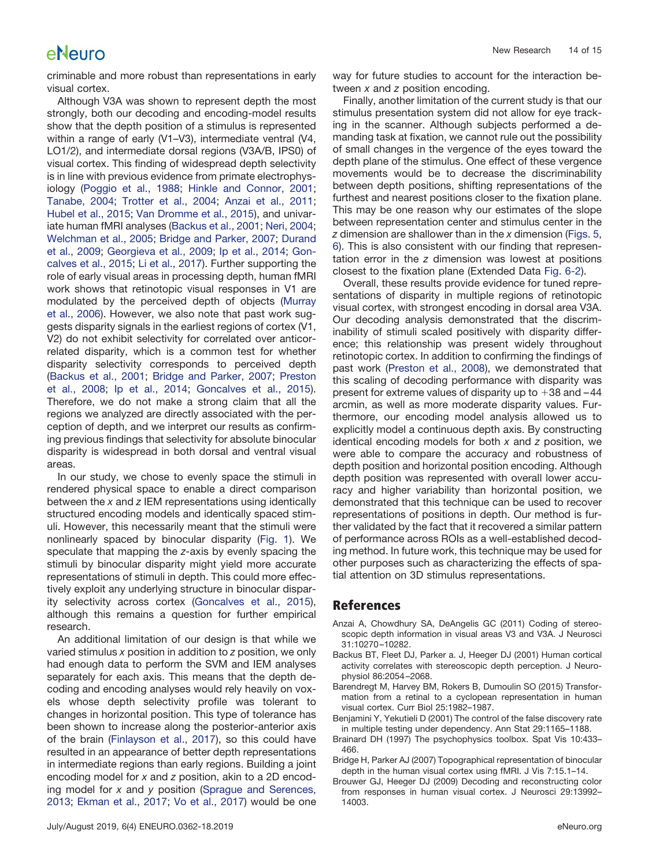criminable and more robust than representations in early visual cortex.

Although V3A was shown to represent depth the most strongly, both our decoding and encoding-model results show that the depth position of a stimulus is represented within a range of early (V1–V3), intermediate ventral (V4, LO1/2), and intermediate dorsal regions (V3A/B, IPS0) of visual cortex. This finding of widespread depth selectivity is in line with previous evidence from primate electrophysiology [\(Poggio et al., 1988;](#page-14-34) [Hinkle and Connor, 2001;](#page-14-35) [Tanabe, 2004;](#page-14-36) [Trotter et al., 2004;](#page-14-37) [Anzai et al., 2011;](#page-13-6) [Hubel et al., 2015;](#page-14-38) [Van Dromme et al., 2015\)](#page-14-39), and univariate human fMRI analyses [\(Backus et al., 2001;](#page-13-0) [Neri, 2004;](#page-14-28) [Welchman et al., 2005;](#page-14-29) [Bridge and Parker, 2007;](#page-13-1) [Durand](#page-14-30) [et al., 2009;](#page-14-30) [Georgieva et al., 2009;](#page-14-31) [Ip et al., 2014;](#page-14-15) [Gon](#page-14-12)[calves et al., 2015;](#page-14-12) [Li et al., 2017\)](#page-14-17). Further supporting the role of early visual areas in processing depth, human fMRI work shows that retinotopic visual responses in V1 are modulated by the perceived depth of objects [\(Murray](#page-14-40) [et al., 2006\)](#page-14-40). However, we also note that past work suggests disparity signals in the earliest regions of cortex (V1, V2) do not exhibit selectivity for correlated over anticorrelated disparity, which is a common test for whether disparity selectivity corresponds to perceived depth [\(Backus et al., 2001;](#page-13-0) [Bridge and Parker, 2007;](#page-13-1) [Preston](#page-14-14) [et al., 2008;](#page-14-14) [Ip et al., 2014;](#page-14-15) [Goncalves et al., 2015\)](#page-14-12). Therefore, we do not make a strong claim that all the regions we analyzed are directly associated with the perception of depth, and we interpret our results as confirming previous findings that selectivity for absolute binocular disparity is widespread in both dorsal and ventral visual areas.

In our study, we chose to evenly space the stimuli in rendered physical space to enable a direct comparison between the *x* and *z* IEM representations using identically structured encoding models and identically spaced stimuli. However, this necessarily meant that the stimuli were nonlinearly spaced by binocular disparity [\(Fig. 1\)](#page-2-0). We speculate that mapping the *z*-axis by evenly spacing the stimuli by binocular disparity might yield more accurate representations of stimuli in depth. This could more effectively exploit any underlying structure in binocular disparity selectivity across cortex [\(Goncalves et al., 2015\)](#page-14-12), although this remains a question for further empirical research.

An additional limitation of our design is that while we varied stimulus *x* position in addition to *z* position, we only had enough data to perform the SVM and IEM analyses separately for each axis. This means that the depth decoding and encoding analyses would rely heavily on voxels whose depth selectivity profile was tolerant to changes in horizontal position. This type of tolerance has been shown to increase along the posterior-anterior axis of the brain [\(Finlayson et al., 2017\)](#page-14-16), so this could have resulted in an appearance of better depth representations in intermediate regions than early regions. Building a joint encoding model for *x* and *z* position, akin to a 2D encoding model for *x* and *y* position [\(Sprague and Serences,](#page-14-6) [2013;](#page-14-6) [Ekman et al., 2017;](#page-14-7) [Vo et al., 2017\)](#page-14-8) would be one way for future studies to account for the interaction between *x* and *z* position encoding.

Finally, another limitation of the current study is that our stimulus presentation system did not allow for eye tracking in the scanner. Although subjects performed a demanding task at fixation, we cannot rule out the possibility of small changes in the vergence of the eyes toward the depth plane of the stimulus. One effect of these vergence movements would be to decrease the discriminability between depth positions, shifting representations of the furthest and nearest positions closer to the fixation plane. This may be one reason why our estimates of the slope between representation center and stimulus center in the *z* dimension are shallower than in the *x* dimension [\(Figs. 5,](#page-11-0) [6\)](#page-12-0). This is also consistent with our finding that representation error in the *z* dimension was lowest at positions closest to the fixation plane (Extended Data [Fig. 6-2\)](https://doi.org/10.1523/ENEURO.0362-18.2019.f6-2).

Overall, these results provide evidence for tuned representations of disparity in multiple regions of retinotopic visual cortex, with strongest encoding in dorsal area V3A. Our decoding analysis demonstrated that the discriminability of stimuli scaled positively with disparity difference; this relationship was present widely throughout retinotopic cortex. In addition to confirming the findings of past work [\(Preston et al., 2008\)](#page-14-14), we demonstrated that this scaling of decoding performance with disparity was present for extreme values of disparity up to  $+38$  and  $-44$ arcmin, as well as more moderate disparity values. Furthermore, our encoding model analysis allowed us to explicitly model a continuous depth axis. By constructing identical encoding models for both *x* and *z* position, we were able to compare the accuracy and robustness of depth position and horizontal position encoding. Although depth position was represented with overall lower accuracy and higher variability than horizontal position, we demonstrated that this technique can be used to recover representations of positions in depth. Our method is further validated by the fact that it recovered a similar pattern of performance across ROIs as a well-established decoding method. In future work, this technique may be used for other purposes such as characterizing the effects of spatial attention on 3D stimulus representations.

### **References**

- <span id="page-13-6"></span>Anzai A, Chowdhury SA, DeAngelis GC (2011) Coding of stereoscopic depth information in visual areas V3 and V3A. J Neurosci 31:10270 –10282.
- <span id="page-13-0"></span>Backus BT, Fleet DJ, Parker a. J, Heeger DJ (2001) Human cortical activity correlates with stereoscopic depth perception. J Neurophysiol 86:2054 –2068.
- <span id="page-13-2"></span>Barendregt M, Harvey BM, Rokers B, Dumoulin SO (2015) Transformation from a retinal to a cyclopean representation in human visual cortex. Curr Biol 25:1982–1987.
- <span id="page-13-4"></span>Benjamini Y, Yekutieli D (2001) The control of the false discovery rate in multiple testing under dependency. Ann Stat 29:1165–1188.
- <span id="page-13-3"></span>Brainard DH (1997) The psychophysics toolbox. Spat Vis 10:433– 466.
- <span id="page-13-1"></span>Bridge H, Parker AJ (2007) Topographical representation of binocular depth in the human visual cortex using fMRI. J Vis 7:15.1–14.
- <span id="page-13-5"></span>Brouwer GJ, Heeger DJ (2009) Decoding and reconstructing color from responses in human visual cortex. J Neurosci 29:13992– 14003.